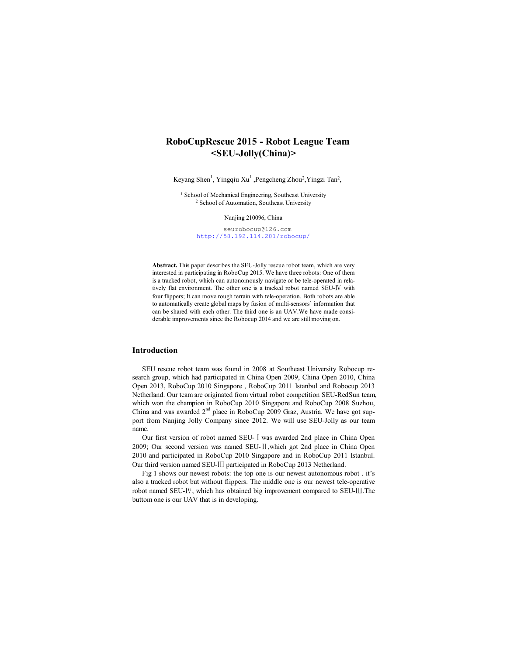# **RoboCupRescue 2015 - Robot League Team <SEU-Jolly(China)>**

Keyang Shen<sup>1</sup>, Yingqiu Xu<sup>1</sup>, Pengcheng Zhou<sup>2</sup>, Yingzi Tan<sup>2</sup>,

<sup>1</sup> School of Mechanical Engineering, Southeast University <sup>2</sup> School of Automation, Southeast University

Nanjing 210096, China

seurobocup@126.com http://58.192.114.201/robocup/

**Abstract.** This paper describes the SEU-Jolly rescue robot team, which are very interested in participating in RoboCup 2015. We have three robots: One of them is a tracked robot, which can autonomously navigate or be tele-operated in relatively flat environment. The other one is a tracked robot named SEU-Ⅳ with four flippers; It can move rough terrain with tele-operation. Both robots are able to automatically create global maps by fusion of multi-sensors' information that can be shared with each other. The third one is an UAV.We have made considerable improvements since the Robocup 2014 and we are still moving on.

#### **Introduction**

SEU rescue robot team was found in 2008 at Southeast University Robocup research group, which had participated in China Open 2009, China Open 2010, China Open 2013, RoboCup 2010 Singapore , RoboCup 2011 Istanbul and Robocup 2013 Netherland. Our team are originated from virtual robot competition SEU-RedSun team, which won the champion in RoboCup 2010 Singapore and RoboCup 2008 Suzhou, China and was awarded 2<sup>nd</sup> place in RoboCup 2009 Graz, Austria. We have got support from Nanjing Jolly Company since 2012. We will use SEU-Jolly as our team name.

Our first version of robot named SEU-Ⅰwas awarded 2nd place in China Open 2009; Our second version was named SEU-Ⅱ,which got 2nd place in China Open 2010 and participated in RoboCup 2010 Singapore and in RoboCup 2011 Istanbul. Our third version named SEU-Ⅲ participated in RoboCup 2013 Netherland.

Fig 1 shows our newest robots: the top one is our newest autonomous robot . it's also a tracked robot but without flippers. The middle one is our newest tele-operative robot named SEU-Ⅳ, which has obtained big improvement compared to SEU-Ⅲ.The buttom one is our UAV that is in developing.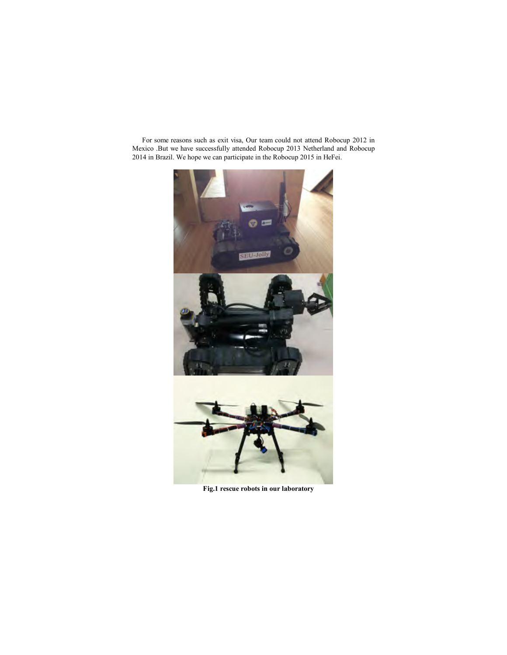For some reasons such as exit visa, Our team could not attend Robocup 2012 in Mexico .But we have successfully attended Robocup 2013 Netherland and Robocup 2014 in Brazil. We hope we can participate in the Robocup 2015 in HeFei.



**Fig.1 rescue robots in our laboratory**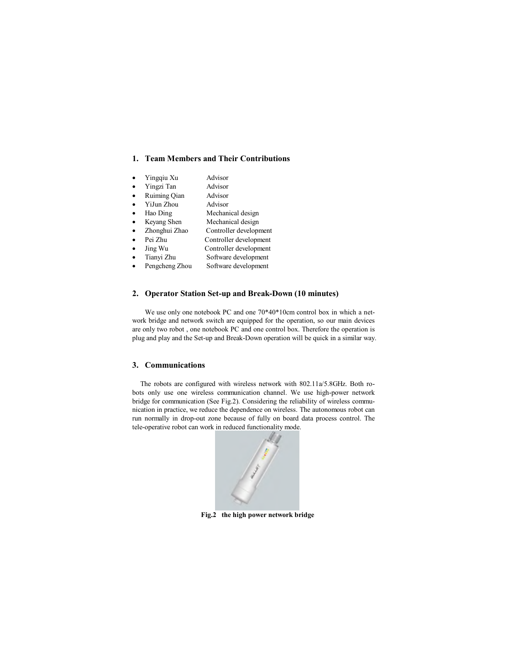### **1. Team Members and Their Contributions**

- Yingqiu Xu Advisor
- x Yingzi Tan Advisor
- Ruiming Qian Advisor
- x YiJun Zhou Advisor
- Hao Ding Mechanical design
- Keyang Shen Mechanical design
- Zhonghui Zhao Controller development
- Pei Zhu Controller development
- Jing Wu Controller development
- Tianyi Zhu Software development
- Pengcheng Zhou Software development
- 

# **2. Operator Station Set-up and Break-Down (10 minutes)**

We use only one notebook PC and one  $70*40*10cm$  control box in which a network bridge and network switch are equipped for the operation, so our main devices are only two robot , one notebook PC and one control box. Therefore the operation is plug and play and the Set-up and Break-Down operation will be quick in a similar way.

## **3. Communications**

The robots are configured with wireless network with 802.11a/5.8GHz. Both robots only use one wireless communication channel. We use high-power network bridge for communication (See Fig.2). Considering the reliability of wireless communication in practice, we reduce the dependence on wireless. The autonomous robot can run normally in drop-out zone because of fully on board data process control. The tele-operative robot can work in reduced functionality mode.



**Fig.2 the high power network bridge**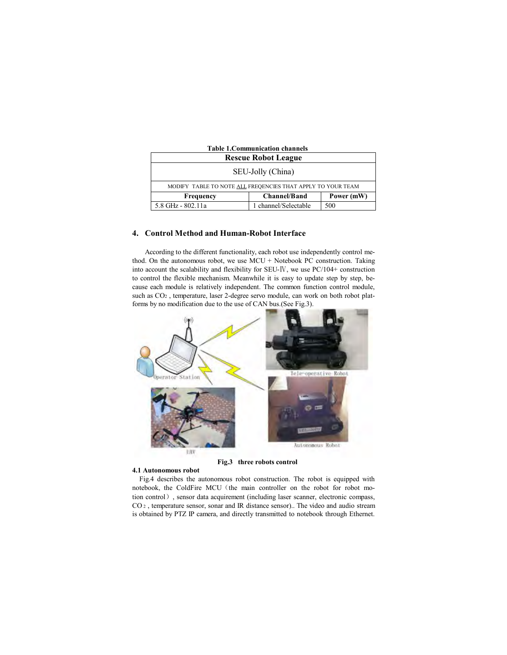| <b>Table 1. Communication channels</b>                      |                      |            |  |  |
|-------------------------------------------------------------|----------------------|------------|--|--|
| <b>Rescue Robot League</b>                                  |                      |            |  |  |
| SEU-Jolly (China)                                           |                      |            |  |  |
| MODIFY TABLE TO NOTE ALL FREQENCIES THAT APPLY TO YOUR TEAM |                      |            |  |  |
| Frequency                                                   | <b>Channel/Band</b>  | Power (mW) |  |  |
| 5.8 GHz - 802.11a                                           | 1 channel/Selectable | 500        |  |  |

#### **4. Control Method and Human-Robot Interface**

According to the different functionality, each robot use independently control method. On the autonomous robot, we use MCU + Notebook PC construction. Taking into account the scalability and flexibility for SEU-Ⅳ, we use PC/104+ construction to control the flexible mechanism. Meanwhile it is easy to update step by step, because each module is relatively independent. The common function control module, such as CO2 , temperature, laser 2-degree servo module, can work on both robot platforms by no modification due to the use of CAN bus.(See Fig.3).



#### **Fig.3 three robots control**

#### **4.1 Autonomous robot**

Fig.4 describes the autonomous robot construction. The robot is equipped with notebook, the ColdFire MCU (the main controller on the robot for robot motion control), sensor data acquirement (including laser scanner, electronic compass, CO <sup>2</sup> , temperature sensor, sonar and IR distance sensor).. The video and audio stream is obtained by PTZ IP camera, and directly transmitted to notebook through Ethernet.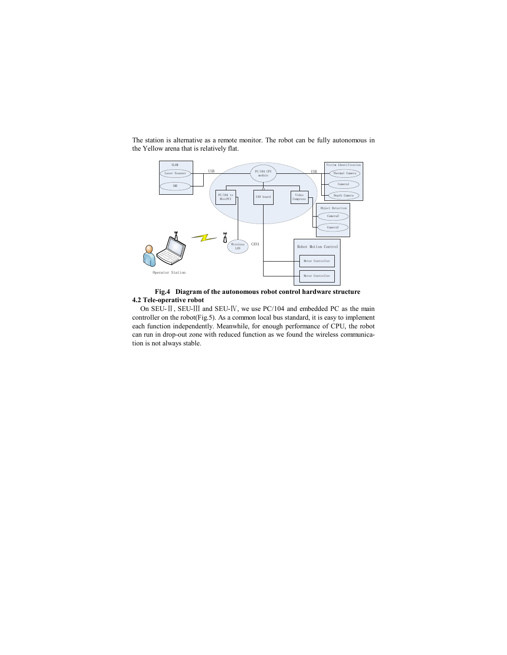

The station is alternative as a remote monitor. The robot can be fully autonomous in the Yellow arena that is relatively flat.

**Fig.4 Diagram of the autonomous robot control hardware structure 4.2 Tele-operative robot**

On SEU-Ⅱ, SEU-Ⅲ and SEU-Ⅳ, we use PC/104 and embedded PC as the main controller on the robot(Fig.5). As a common local bus standard, it is easy to implement each function independently. Meanwhile, for enough performance of CPU, the robot can run in drop-out zone with reduced function as we found the wireless communication is not always stable.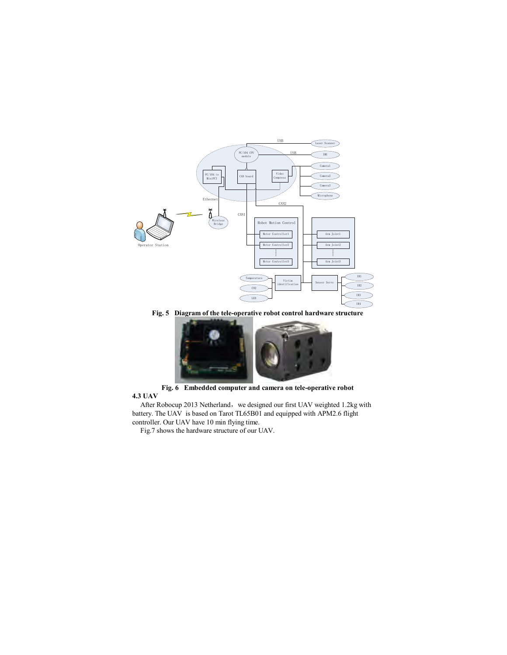

**Fig. 5 Diagram of the tele-operative robot control hardware structure**



**Fig. 6 Embedded computer and camera on tele-operative robot 4.3 UAV**

After Robocup 2013 Netherland, we designed our first UAV weighted 1.2kg with battery. The UAV is based on Tarot TL65B01 and equipped with APM2.6 flight controller. Our UAV have 10 min flying time.

Fig.7 shows the hardware structure of our UAV.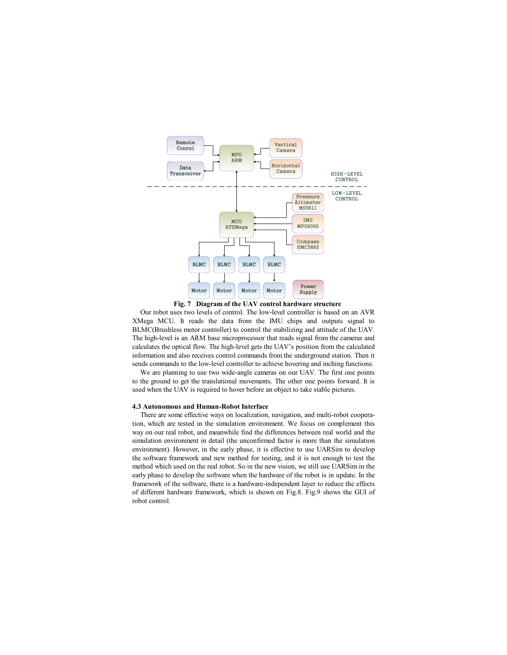



Our robot uses two levels of control. The low-level controller is based on an AVR XMega MCU. It reads the data from the IMU chips and outputs signal to BLMC(Brushless motor controller) to control the stabilizing and attitude of the UAV. The high-level is an ARM base microprocessor that reads signal from the cameras and calculates the optical flow. The high-level gets the UAV's position from the calculated information and also receives control commands from the underground station. Then it sends commands to the low-level controller to achieve hovering and inching functions.

We are planning to use two wide-angle cameras on our UAV. The first one points to the ground to get the translational movements. The other one points forward. It is used when the UAV is required to hover before an object to take stable pictures.

#### **4.3 Autonomous and Human-Robot Interface**

There are some effective ways on localization, navigation, and multi-robot cooperation, which are tested in the simulation environment. We focus on complement this way on our real robot, and meanwhile find the differences between real world and the simulation environment in detail (the unconfirmed factor is more than the simulation environment). However, in the early phase, it is effective to use UARSim to develop the software framework and new method for testing, and it is not enough to test the method which used on the real robot. So in the new vision, we still use UARSim in the early phase to develop the software when the hardware of the robot is in update. In the framework of the software, there is a hardware-independent layer to reduce the effects of different hardware framework, which is shown on Fig.8. Fig.9 shows the GUI of robot control.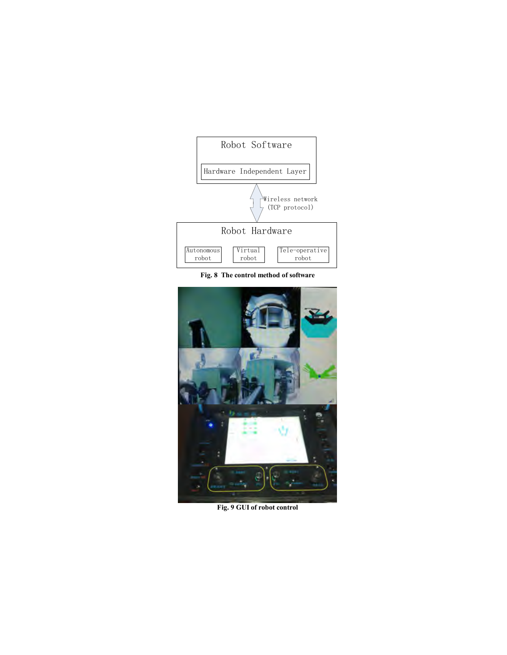

**Fig. 8 The control method of software**



**Fig. 9 GUI of robot control**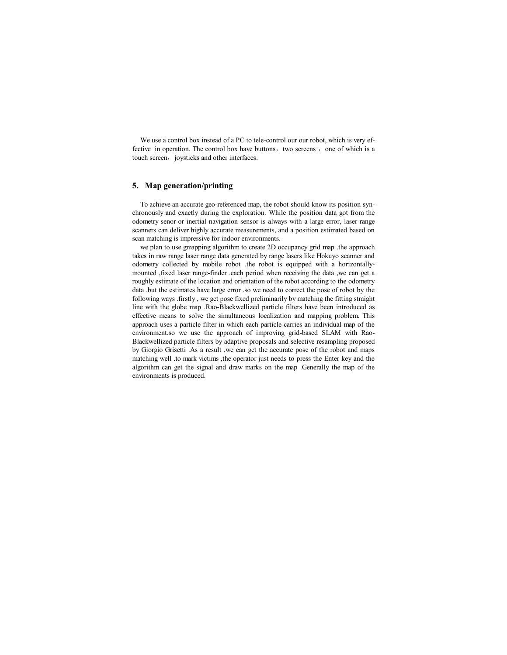We use a control box instead of a PC to tele-control our our robot, which is very effective in operation. The control box have buttons, two screens, one of which is a touch screen, joysticks and other interfaces.

#### **5. Map generation/printing**

To achieve an accurate geo-referenced map, the robot should know its position synchronously and exactly during the exploration. While the position data got from the odometry senor or inertial navigation sensor is always with a large error, laser range scanners can deliver highly accurate measurements, and a position estimated based on scan matching is impressive for indoor environments.

we plan to use gmapping algorithm to create 2D occupancy grid map .the approach takes in raw range laser range data generated by range lasers like Hokuyo scanner and odometry collected by mobile robot .the robot is equipped with a horizontallymounted ,fixed laser range-finder .each period when receiving the data ,we can get a roughly estimate of the location and orientation of the robot according to the odometry data .but the estimates have large error .so we need to correct the pose of robot by the following ways .firstly , we get pose fixed preliminarily by matching the fitting straight line with the globe map .Rao-Blackwellized particle filters have been introduced as effective means to solve the simultaneous localization and mapping problem. This approach uses a particle filter in which each particle carries an individual map of the environment.so we use the approach of improving grid-based SLAM with Rao-Blackwellized particle filters by adaptive proposals and selective resampling proposed by Giorgio Grisetti .As a result ,we can get the accurate pose of the robot and maps matching well .to mark victims ,the operator just needs to press the Enter key and the algorithm can get the signal and draw marks on the map .Generally the map of the environments is produced.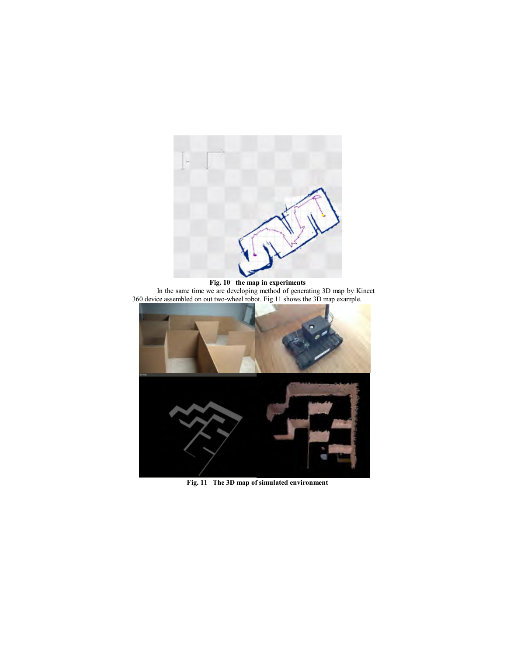



**Fig. 11 The 3D map of simulated environment**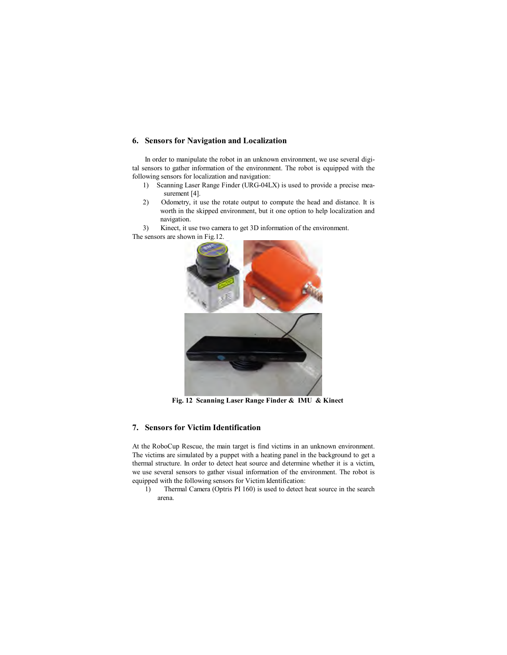# **6. Sensors for Navigation and Localization**

In order to manipulate the robot in an unknown environment, we use several digital sensors to gather information of the environment. The robot is equipped with the following sensors for localization and navigation:

- 1) Scanning Laser Range Finder (URG-04LX) is used to provide a precise measurement [4].
- 2) Odometry, it use the rotate output to compute the head and distance. It is worth in the skipped environment, but it one option to help localization and navigation.

3) Kinect, it use two camera to get 3D information of the environment. The sensors are shown in Fig.12.



**Fig. 12 Scanning Laser Range Finder & IMU & Kinect**

# **7. Sensors for Victim Identification**

At the RoboCup Rescue, the main target is find victims in an unknown environment. The victims are simulated by a puppet with a heating panel in the background to get a thermal structure. In order to detect heat source and determine whether it is a victim, we use several sensors to gather visual information of the environment. The robot is equipped with the following sensors for Victim Identification:

1) Thermal Camera (Optris PI 160) is used to detect heat source in the search arena.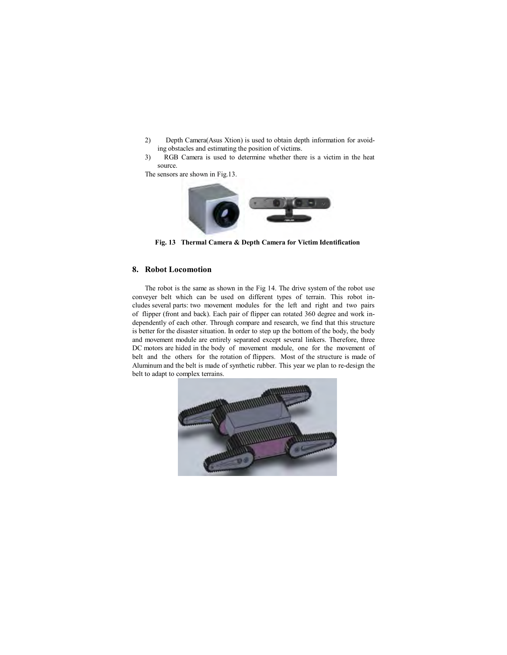- 2) Depth Camera(Asus Xtion) is used to obtain depth information for avoiding obstacles and estimating the position of victims.
- 3) RGB Camera is used to determine whether there is a victim in the heat source.

The sensors are shown in Fig.13.



**Fig. 13 Thermal Camera & Depth Camera for Victim Identification**

## **8. Robot Locomotion**

The robot is the same as shown in the Fig 14. The drive system of the robot use conveyer belt which can be used on different types of terrain. This robot includes several parts: two movement modules for the left and right and two pairs of flipper (front and back). Each pair of flipper can rotated 360 degree and work independently of each other. Through compare and research, we find that this structure is better for the disaster situation. In order to step up the bottom of the body, the body and movement module are entirely separated except several linkers. Therefore, three DC motors are hided in the body of movement module, one for the movement of belt and the others for the rotation of flippers. Most of the structure is made of Aluminum and the belt is made of synthetic rubber. This year we plan to re-design the belt to adapt to complex terrains.

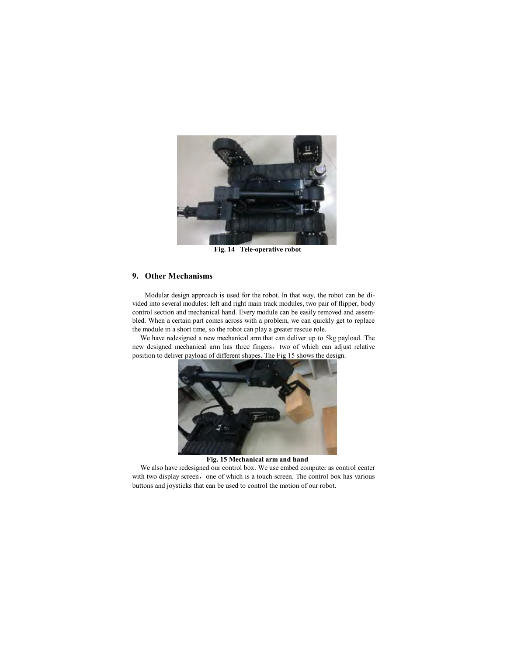

**Fig. 14 Tele-operative robot**

## **9. Other Mechanisms**

Modular design approach is used for the robot. In that way, the robot can be divided into several modules: left and right main track modules, two pair of flipper, body control section and mechanical hand. Every module can be easily removed and assembled. When a certain part comes across with a problem, we can quickly get to replace the module in a short time, so the robot can play a greater rescue role.

We have redesigned a new mechanical arm that can deliver up to 5kg payload. The new designed mechanical arm has three fingers, two of which can adjust relative position to deliver payload of different shapes. The Fig 15 shows the design.



**Fig. 15 Mechanical arm and hand**

We also have redesigned our control box. We use embed computer as control center with two display screen, one of which is a touch screen. The control box has various buttons and joysticks that can be used to control the motion of our robot.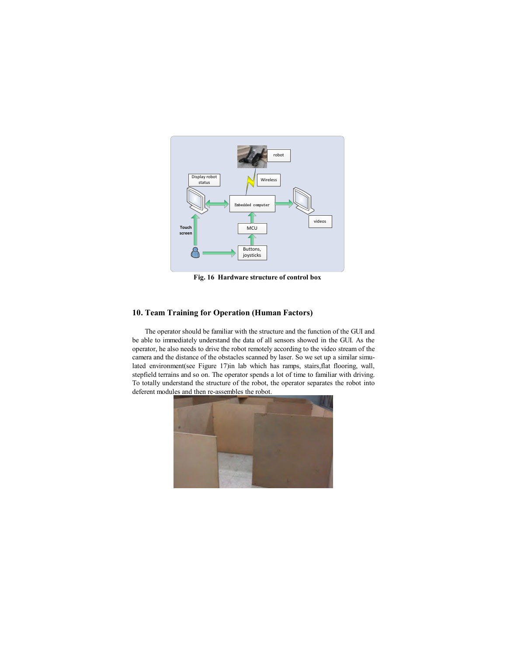

**Fig. 16 Hardware structure of control box**

# **10. Team Training for Operation (Human Factors)**

The operator should be familiar with the structure and the function of the GUI and be able to immediately understand the data of all sensors showed in the GUI. As the operator, he also needs to drive the robot remotely according to the video stream of the camera and the distance of the obstacles scanned by laser. So we set up a similar simulated environment(see Figure 17)in lab which has ramps, stairs,flat flooring, wall, stepfield terrains and so on. The operator spends a lot of time to familiar with driving. To totally understand the structure of the robot, the operator separates the robot into deferent modules and then re-assembles the robot.

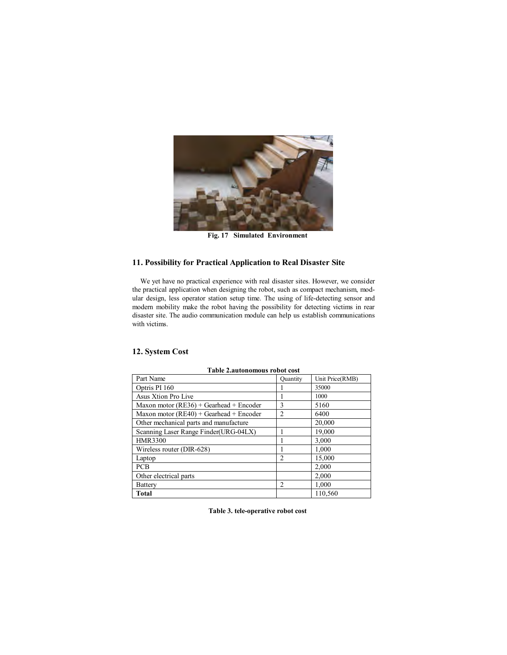

**Fig. 17 Simulated Environment**

# **11. Possibility for Practical Application to Real Disaster Site**

We yet have no practical experience with real disaster sites. However, we consider the practical application when designing the robot, such as compact mechanism, modular design, less operator station setup time. The using of life-detecting sensor and modern mobility make the robot having the possibility for detecting victims in rear disaster site. The audio communication module can help us establish communications with victims.

| <b>Table 2.autonomous robot cost</b>      |                |                 |  |  |
|-------------------------------------------|----------------|-----------------|--|--|
| Part Name                                 | Quantity       | Unit Price(RMB) |  |  |
| Optris PI 160                             |                | 35000           |  |  |
| Asus Xtion Pro Live                       |                | 1000            |  |  |
| Maxon motor $(RE36) + Gearhead + Encoder$ | 3              | 5160            |  |  |
| Maxon motor $(RE40) + Gearhead + Encoder$ | $\overline{c}$ | 6400            |  |  |
| Other mechanical parts and manufacture    |                | 20,000          |  |  |
| Scanning Laser Range Finder(URG-04LX)     | 1              | 19,000          |  |  |
| <b>HMR3300</b>                            | 1              | 3,000           |  |  |
| Wireless router (DIR-628)                 |                | 1,000           |  |  |
| Laptop                                    | $\overline{2}$ | 15,000          |  |  |
| <b>PCB</b>                                |                | 2,000           |  |  |
| Other electrical parts                    |                | 2,000           |  |  |
| <b>Battery</b>                            | $\overline{c}$ | 1,000           |  |  |
| Total                                     |                | 110.560         |  |  |

# **12. System Cost**

**Table 3. tele-operative robot cost**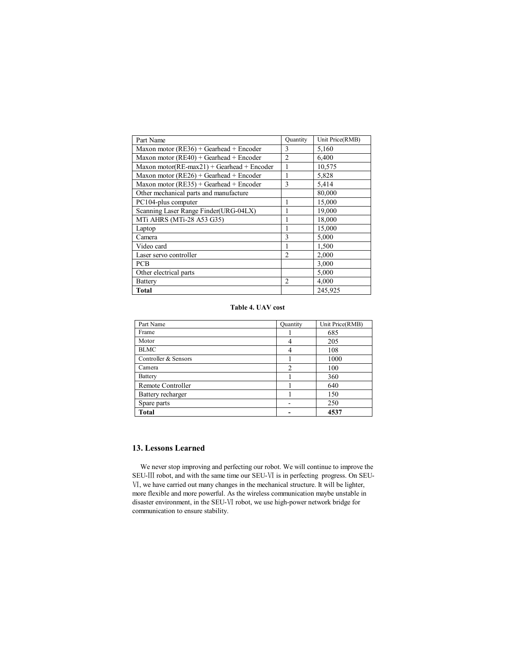| Part Name                                          | Quantity       | Unit Price(RMB) |
|----------------------------------------------------|----------------|-----------------|
| Maxon motor ( $RE36$ ) + Gearhead + Encoder        | 3              | 5,160           |
| Maxon motor $(RE40) + Gearhead + Encoder$          | $\overline{2}$ | 6,400           |
| Maxon motor( $RE$ -max $21$ ) + Gearhead + Encoder | 1              | 10,575          |
| Maxon motor ( $RE26$ ) + Gearhead + Encoder        | 1              | 5,828           |
| Maxon motor $(RE35)$ + Gearhead + Encoder          | 3              | 5,414           |
| Other mechanical parts and manufacture             |                | 80,000          |
| PC104-plus computer                                | 1              | 15,000          |
| Scanning Laser Range Finder(URG-04LX)              | 1              | 19,000          |
| MTi AHRS (MTi-28 A53 G35)                          | 1              | 18,000          |
| Laptop                                             | 1              | 15,000          |
| Camera                                             | 3              | 5,000           |
| Video card                                         | 1              | 1,500           |
| Laser servo controller                             | $\overline{2}$ | 2,000           |
| <b>PCB</b>                                         |                | 3,000           |
| Other electrical parts                             |                | 5,000           |
| Battery                                            | 2              | 4,000           |
| Total                                              |                | 245,925         |

#### **Table 4. UAV cost**

| Part Name            | <b>Quantity</b>          | Unit Price(RMB) |
|----------------------|--------------------------|-----------------|
| Frame                |                          | 685             |
| Motor                | 4                        | 205             |
| <b>BLMC</b>          | 4                        | 108             |
| Controller & Sensors |                          | 1000            |
| Camera               | $\overline{c}$           | 100             |
| <b>Battery</b>       |                          | 360             |
| Remote Controller    |                          | 640             |
| Battery recharger    |                          | 150             |
| Spare parts          | $\overline{\phantom{0}}$ | 250             |
| <b>Total</b>         |                          | 4537            |

# **13. Lessons Learned**

We never stop improving and perfecting our robot. We will continue to improve the SEU-Ⅲ robot, and with the same time our SEU-Ⅵ is in perfecting progress. On SEU- Ⅵ, we have carried out many changes in the mechanical structure. It will be lighter, more flexible and more powerful. As the wireless communication maybe unstable in disaster environment, in the SEU-Ⅵ robot, we use high-power network bridge for communication to ensure stability.